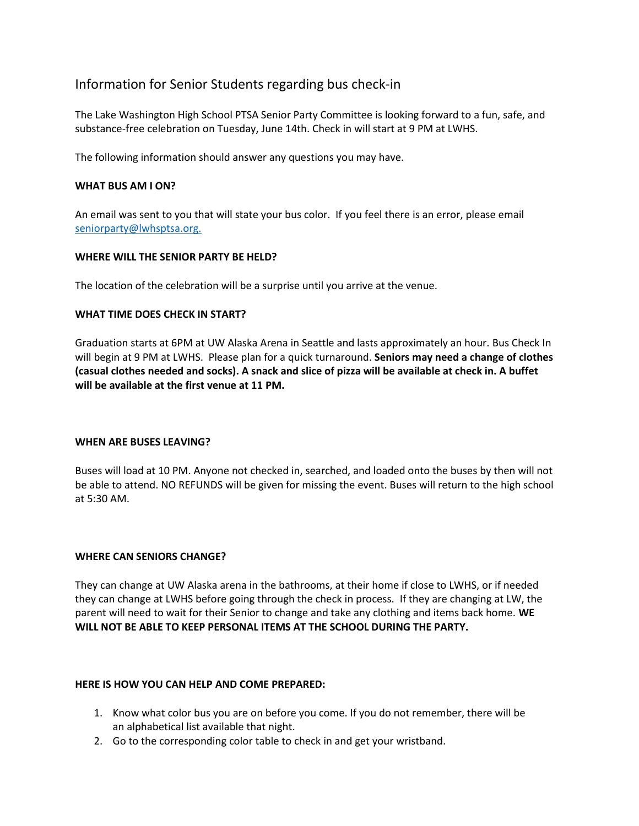# Information for Senior Students regarding bus check-in

The Lake Washington High School PTSA Senior Party Committee is looking forward to a fun, safe, and substance-free celebration on Tuesday, June 14th. Check in will start at 9 PM at LWHS.

The following information should answer any questions you may have.

#### **WHAT BUS AM I ON?**

An email was sent to you that will state your bus color. If you feel there is an error, please email [seniorparty@lwhsptsa.org.](mailto:seniorparty@lwhsptsa.org)

# **WHERE WILL THE SENIOR PARTY BE HELD?**

The location of the celebration will be a surprise until you arrive at the venue.

#### **WHAT TIME DOES CHECK IN START?**

Graduation starts at 6PM at UW Alaska Arena in Seattle and lasts approximately an hour. Bus Check In will begin at 9 PM at LWHS. Please plan for a quick turnaround. **Seniors may need a change of clothes (casual clothes needed and socks). A snack and slice of pizza will be available at check in. A buffet will be available at the first venue at 11 PM.**

#### **WHEN ARE BUSES LEAVING?**

Buses will load at 10 PM. Anyone not checked in, searched, and loaded onto the buses by then will not be able to attend. NO REFUNDS will be given for missing the event. Buses will return to the high school at 5:30 AM.

#### **WHERE CAN SENIORS CHANGE?**

They can change at UW Alaska arena in the bathrooms, at their home if close to LWHS, or if needed they can change at LWHS before going through the check in process. If they are changing at LW, the parent will need to wait for their Senior to change and take any clothing and items back home. **WE WILL NOT BE ABLE TO KEEP PERSONAL ITEMS AT THE SCHOOL DURING THE PARTY.** 

#### **HERE IS HOW YOU CAN HELP AND COME PREPARED:**

- 1. Know what color bus you are on before you come. If you do not remember, there will be an alphabetical list available that night.
- 2. Go to the corresponding color table to check in and get your wristband.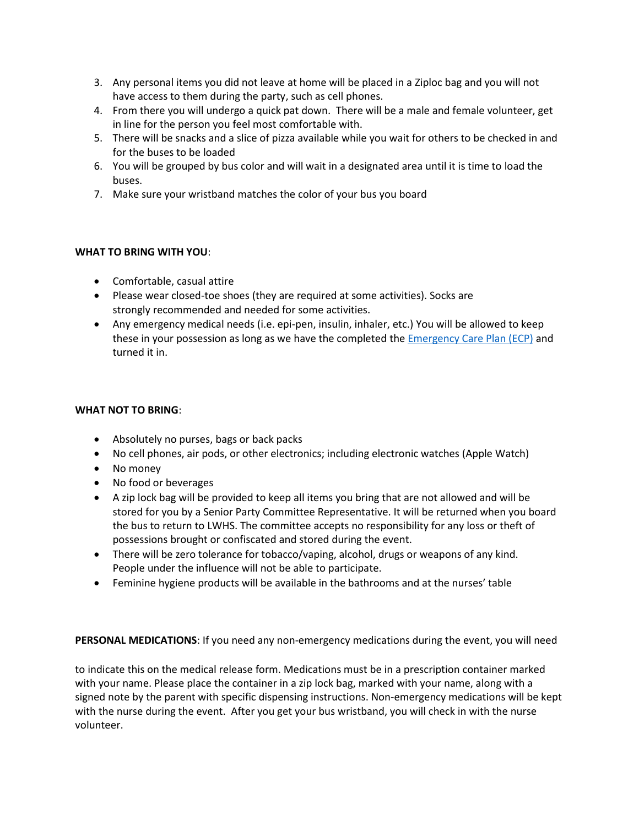- 3. Any personal items you did not leave at home will be placed in a Ziploc bag and you will not have access to them during the party, such as cell phones.
- 4. From there you will undergo a quick pat down. There will be a male and female volunteer, get in line for the person you feel most comfortable with.
- 5. There will be snacks and a slice of pizza available while you wait for others to be checked in and for the buses to be loaded
- 6. You will be grouped by bus color and will wait in a designated area until it is time to load the buses.
- 7. Make sure your wristband matches the color of your bus you board

# **WHAT TO BRING WITH YOU**:

- Comfortable, casual attire
- Please wear closed-toe shoes (they are required at some activities). Socks are strongly recommended and needed for some activities.
- Any emergency medical needs (i.e. epi-pen, insulin, inhaler, etc.) You will be allowed to keep these in your possession as long as we have the completed the [Emergency Care Plan \(ECP\)](https://lwhsptsa.org/Doc/Senior%20Class%20Info/Emergency%20Care%20Plan%202022.pdf) and turned it in.

## **WHAT NOT TO BRING**:

- Absolutely no purses, bags or back packs
- No cell phones, air pods, or other electronics; including electronic watches (Apple Watch)
- No money
- No food or beverages
- A zip lock bag will be provided to keep all items you bring that are not allowed and will be stored for you by a Senior Party Committee Representative. It will be returned when you board the bus to return to LWHS. The committee accepts no responsibility for any loss or theft of possessions brought or confiscated and stored during the event.
- There will be zero tolerance for tobacco/vaping, alcohol, drugs or weapons of any kind. People under the influence will not be able to participate.
- Feminine hygiene products will be available in the bathrooms and at the nurses' table

**PERSONAL MEDICATIONS**: If you need any non-emergency medications during the event, you will need

to indicate this on the medical release form. Medications must be in a prescription container marked with your name. Please place the container in a zip lock bag, marked with your name, along with a signed note by the parent with specific dispensing instructions. Non-emergency medications will be kept with the nurse during the event. After you get your bus wristband, you will check in with the nurse volunteer.